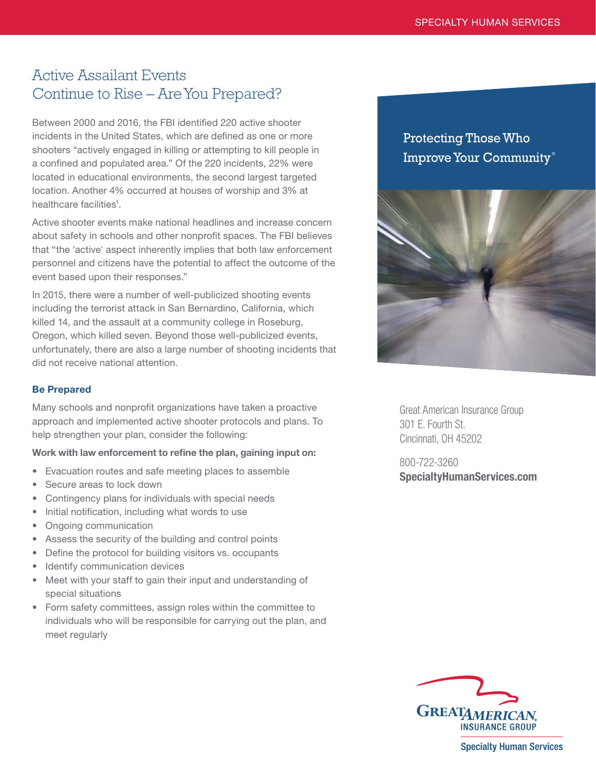# Active Assailant Events Continue to Rise – Are You Prepared?

Between 2000 and 2016, the FBI identified 220 active shooter incidents in the United States, which are defined as one or more shooters "actively engaged in killing or attempting to kill people in a confined and populated area." Of the 220 incidents, 22% were located in educational environments, the second largest targeted location. Another 4% occurred at houses of worship and 3% at healthcare facilities<sup>1</sup>.

Active shooter events make national headlines and increase concern about safety in schools and other nonprofit spaces. The FBI believes that "the 'active' aspect inherently implies that both law enforcement personnel and citizens have the potential to affect the outcome of the event based upon their responses."

In 2015, there were a number of well-publicized shooting events including the terrorist attack in San Bernardino, California, which killed 14, and the assault at a community college in Roseburg, Oregon, which killed seven. Beyond those well-publicized events, unfortunately, there are also a large number of shooting incidents that did not receive national attention.

## Be Prepared

Many schools and nonprofit organizations have taken a proactive approach and implemented active shooter protocols and plans. To help strengthen your plan, consider the following:

## Work with law enforcement to refine the plan, gaining input on:

- Evacuation routes and safe meeting places to assemble
- Secure areas to lock down
- Contingency plans for individuals with special needs
- Initial notification, including what words to use
- Ongoing communication
- Assess the security of the building and control points
- Define the protocol for building visitors vs. occupants
- Identify communication devices
- Meet with your staff to gain their input and understanding of special situations
- Form safety committees, assign roles within the committee to individuals who will be responsible for carrying out the plan, and meet regularly

# Protecting Those Who Improve Your Community®



Great American Insurance Group 301 E. Fourth St. Cincinnati, OH 45202

800-722-3260 [SpecialtyHumanServices.com](http://SpecialtyHumanServices.com)



**Specialty Human Services**